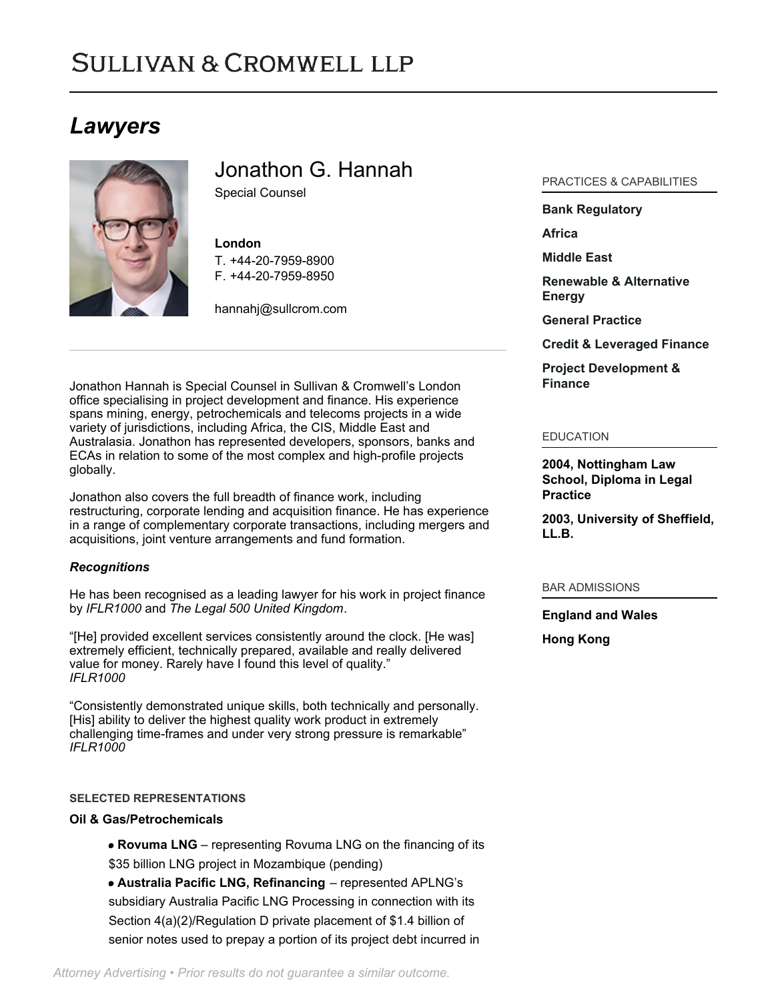# **SULLIVAN & CROMWELL LLP**

# *Lawyers*



Jonathon G. Hannah

Special Counsel

# **London**

T. [+44-20-7959-8900](tel:+44-20-7959-8900) F. [+44-20-7959-8950](tel:+44-20-7959-8950)

[hannahj@sullcrom.com](https://www.sullcrom.com/email-disclaimer?profsid=lawyers/JonathonG-Hannah)

Jonathon Hannah is Special Counsel in Sullivan & Cromwell's London office specialising in project development and finance. His experience spans mining, energy, petrochemicals and telecoms projects in a wide variety of jurisdictions, including Africa, the CIS, Middle East and Australasia. Jonathon has represented developers, sponsors, banks and ECAs in relation to some of the most complex and high-profile projects globally.

Jonathon also covers the full breadth of finance work, including restructuring, corporate lending and acquisition finance. He has experience in a range of complementary corporate transactions, including mergers and acquisitions, joint venture arrangements and fund formation.

# *Recognitions*

He has been recognised as a leading lawyer for his work in project finance by *IFLR1000* and *The Legal 500 United Kingdom*.

"[He] provided excellent services consistently around the clock. [He was] extremely efficient, technically prepared, available and really delivered value for money. Rarely have I found this level of quality." *IFLR1000*

"Consistently demonstrated unique skills, both technically and personally. [His] ability to deliver the highest quality work product in extremely challenging time-frames and under very strong pressure is remarkable" *IFLR1000*

# **SELECTED REPRESENTATIONS**

# **Oil & Gas/Petrochemicals**

**Rovuma LNG** – representing Rovuma LNG on the financing of its \$35 billion LNG project in Mozambique (pending)

**Australia Pacific LNG, Refinancing** – represented APLNG's subsidiary Australia Pacific LNG Processing in connection with its Section 4(a)(2)/Regulation D private placement of \$1.4 billion of senior notes used to prepay a portion of its project debt incurred in

# PRACTICES & CAPABILITIES

#### **[Bank Regulatory](https://www.sullcrom.com/Banking-Practices)**

**[Africa](https://www.sullcrom.com/africa)**

**[Middle East](https://www.sullcrom.com/middle-east)**

**[Renewable & Alternative](https://www.sullcrom.com/renewable-energy) [Energy](https://www.sullcrom.com/renewable-energy)**

**[General Practice](https://www.sullcrom.com/general-practice)**

**[Credit & Leveraged Finance](https://www.sullcrom.com/credit-and-leveraged-finance)**

**[Project Development &](https://www.sullcrom.com/Project-Development-and-Finance-Practices) [Finance](https://www.sullcrom.com/Project-Development-and-Finance-Practices)**

#### EDUCATION

**2004, Nottingham Law School, Diploma in Legal Practice** 

**2003, University of Sheffield, LL.B.** 

BAR ADMISSIONS

**England and Wales** 

**Hong Kong**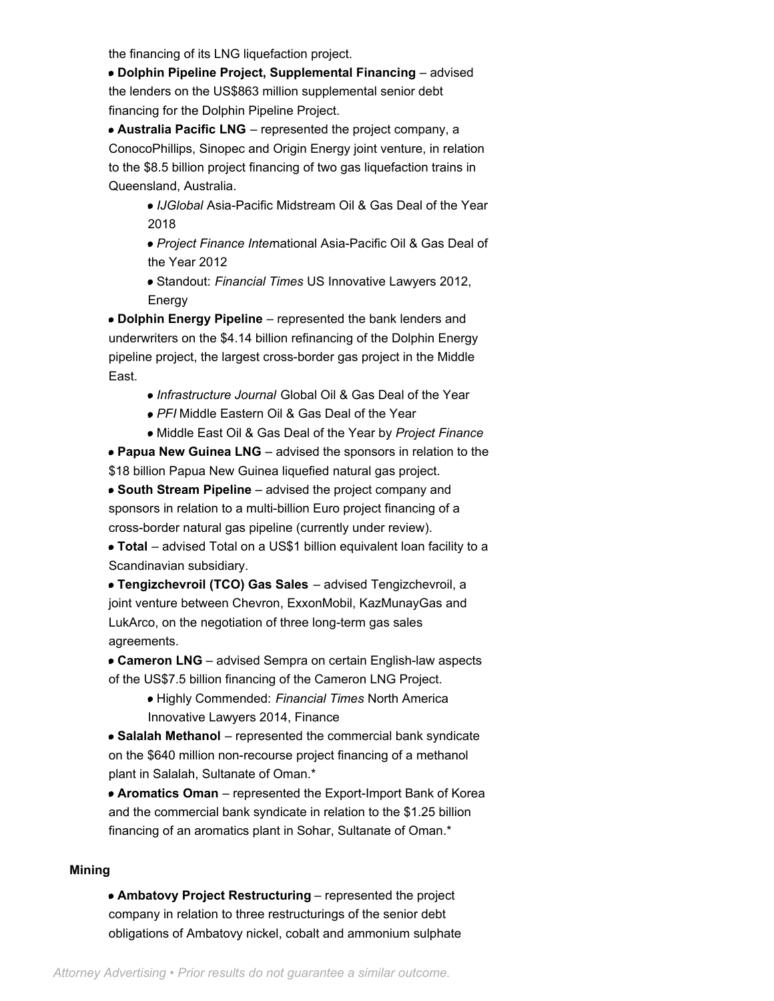the financing of its LNG liquefaction project.

**Dolphin Pipeline Project, Supplemental Financing** – advised the lenders on the US\$863 million supplemental senior debt financing for the Dolphin Pipeline Project.

**Australia Pacific LNG** – represented the project company, a ConocoPhillips, Sinopec and Origin Energy joint venture, in relation to the \$8.5 billion project financing of two gas liquefaction trains in Queensland, Australia.

- *IJGlobal* Asia-Pacific Midstream Oil & Gas Deal of the Year 2018
- *Project Finance Inter*national Asia-Pacific Oil & Gas Deal of the Year 2012
- Standout: *Financial Times* US Innovative Lawyers 2012, Energy

**Dolphin Energy Pipeline** – represented the bank lenders and underwriters on the \$4.14 billion refinancing of the Dolphin Energy pipeline project, the largest cross-border gas project in the Middle East.

- *Infrastructure Journal* Global Oil & Gas Deal of the Year
- *PFI* Middle Eastern Oil & Gas Deal of the Year
- Middle East Oil & Gas Deal of the Year by *Project Finance*

**Papua New Guinea LNG** – advised the sponsors in relation to the \$18 billion Papua New Guinea liquefied natural gas project.

**South Stream Pipeline** – advised the project company and sponsors in relation to a multi-billion Euro project financing of a cross-border natural gas pipeline (currently under review).

**Total** – advised Total on a US\$1 billion equivalent loan facility to a Scandinavian subsidiary.

**Tengizchevroil (TCO) Gas Sales** – advised Tengizchevroil, a joint venture between Chevron, ExxonMobil, KazMunayGas and LukArco, on the negotiation of three long-term gas sales agreements.

**Cameron LNG** – advised Sempra on certain English-law aspects of the US\$7.5 billion financing of the Cameron LNG Project.

> Highly Commended: *Financial Times* North America Innovative Lawyers 2014, Finance

**Salalah Methanol** – represented the commercial bank syndicate on the \$640 million non-recourse project financing of a methanol plant in Salalah, Sultanate of Oman.\*

**Aromatics Oman** – represented the Export-Import Bank of Korea and the commercial bank syndicate in relation to the \$1.25 billion financing of an aromatics plant in Sohar, Sultanate of Oman.\*

# **Mining**

**Ambatovy Project Restructuring** – represented the project company in relation to three restructurings of the senior debt obligations of Ambatovy nickel, cobalt and ammonium sulphate